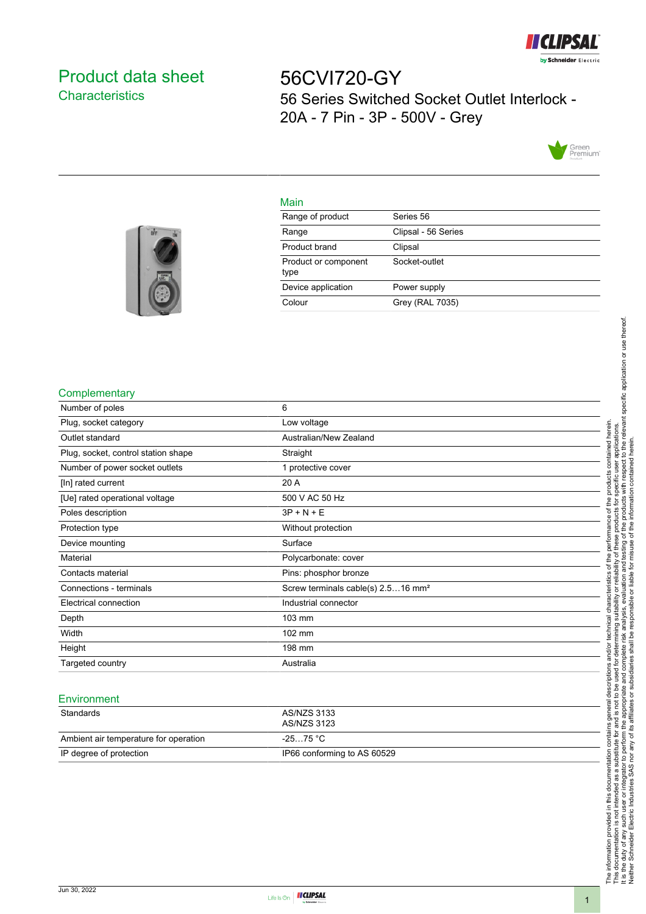

# <span id="page-0-0"></span>Product data sheet **Characteristics**

56CVI720-GY 56 Series Switched Socket Outlet Interlock - 20A - 7 Pin - 3P - 500V - Grey



### Main

| Range of product             | Series 56           |
|------------------------------|---------------------|
| Range                        | Clipsal - 56 Series |
| Product brand                | Clipsal             |
| Product or component<br>type | Socket-outlet       |
| Device application           | Power supply        |
| Colour                       | Grey (RAL 7035)     |
|                              |                     |



#### **Complementary**

| Number of poles                     | 6                                              |
|-------------------------------------|------------------------------------------------|
| Plug, socket category               | Low voltage                                    |
| Outlet standard                     | Australian/New Zealand                         |
| Plug, socket, control station shape | Straight                                       |
| Number of power socket outlets      | 1 protective cover                             |
| [In] rated current                  | 20 A                                           |
| [Ue] rated operational voltage      | 500 V AC 50 Hz                                 |
| Poles description                   | $3P + N + E$                                   |
| Protection type                     | Without protection                             |
| Device mounting                     | Surface                                        |
| Material                            | Polycarbonate: cover                           |
| Contacts material                   | Pins: phosphor bronze                          |
| Connections - terminals             | Screw terminals cable(s) 2.516 mm <sup>2</sup> |
| Electrical connection               | Industrial connector                           |
| Depth                               | 103 mm                                         |
| Width                               | 102 mm                                         |
| Height                              | 198 mm                                         |
| Targeted country                    | Australia                                      |

### Environment

| Standards                             | AS/NZS 3133                 |
|---------------------------------------|-----------------------------|
|                                       | AS/NZS 3123                 |
| Ambient air temperature for operation | -25…75 °C                   |
| IP degree of protection               | IP66 conforming to AS 60529 |